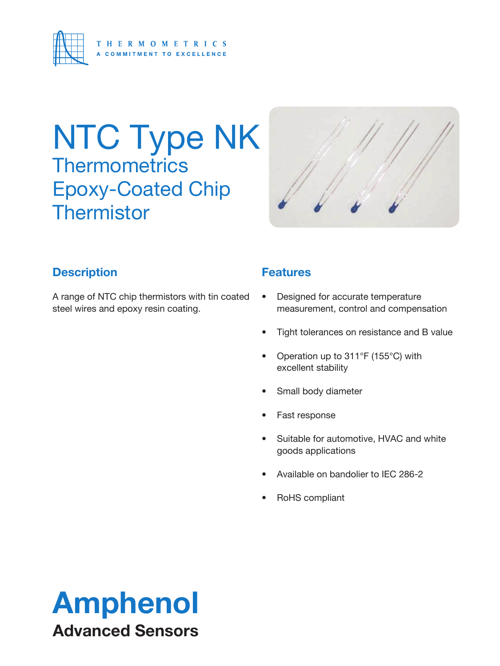

## NTC Type NK **Thermometrics** Epoxy-Coated Chip **Thermistor**



## **Description**

A range of NTC chip thermistors with tin coated steel wires and epoxy resin coating.

## **Features**

- Designed for accurate temperature measurement, control and compensation
- Tight tolerances on resistance and B value
- Operation up to 311°F (155°C) with excellent stability
- Small body diameter
- Fast response
- Suitable for automotive, HVAC and white goods applications
- Available on bandolier to IEC 286-2
- RoHS compliant